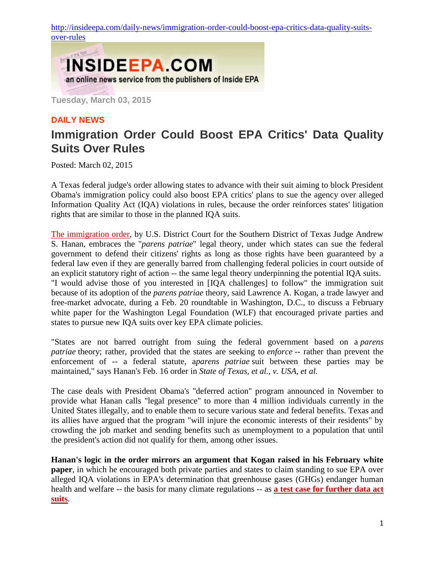[http://insideepa.com/daily-news/immigration-order-could-boost-epa-critics-data-quality-suits](http://insideepa.com/daily-news/immigration-order-could-boost-epa-critics-data-quality-suits-over-rules)[over-rules](http://insideepa.com/daily-news/immigration-order-could-boost-epa-critics-data-quality-suits-over-rules)



**Tuesday, March 03, 2015**

## **DAILY NEWS**

## **Immigration Order Could Boost EPA Critics' Data Quality Suits Over Rules**

Posted: March 02, 2015

A Texas federal judge's order allowing states to advance with their suit aiming to block President Obama's immigration policy could also boost EPA critics' plans to sue the agency over alleged Information Quality Act (IQA) violations in rules, because the order reinforces states' litigation rights that are similar to those in the planned IQA suits.

The [immigration](http://insideepa.com/sites/insideepa.com/files/documents/feb2015/epa2015_0416.pdf) order, by U.S. District Court for the Southern District of Texas Judge Andrew S. Hanan, embraces the "*parens patriae*" legal theory, under which states can sue the federal government to defend their citizens' rights as long as those rights have been guaranteed by a federal law even if they are generally barred from challenging federal policies in court outside of an explicit statutory right of action -- the same legal theory underpinning the potential IQA suits. "I would advise those of you interested in [IQA challenges] to follow" the immigration suit because of its adoption of the *parens patriae* theory, said Lawrence A. Kogan, a trade lawyer and free-market advocate, during a Feb. 20 roundtable in Washington, D.C., to discuss a February white paper for the Washington Legal Foundation (WLF) that encouraged private parties and states to pursue new IQA suits over key EPA climate policies.

"States are not barred outright from suing the federal government based on a *parens patriae* theory; rather, provided that the states are seeking to *enforce* -- rather than prevent the enforcement of -- a federal statute, a*parens patriae* suit between these parties may be maintained," says Hanan's Feb. 16 order in *State of Texas, et al., v. USA, et al.*

The case deals with President Obama's "deferred action" program announced in November to provide what Hanan calls "legal presence" to more than 4 million individuals currently in the United States illegally, and to enable them to secure various state and federal benefits. Texas and its allies have argued that the program "will injure the economic interests of their residents" by crowding the job market and sending benefits such as unemployment to a population that until the president's action did not qualify for them, among other issues.

**Hanan's logic in the order mirrors an argument that Kogan raised in his February white paper**, in which he encouraged both private parties and states to claim standing to sue EPA over alleged IQA violations in EPA's determination that greenhouse gases (GHGs) endanger human health and welfare -- the basis for many climate regulations -- as **a test case for [further](http://insideepa.com/node/179077) data act [suits](http://insideepa.com/node/179077)**.